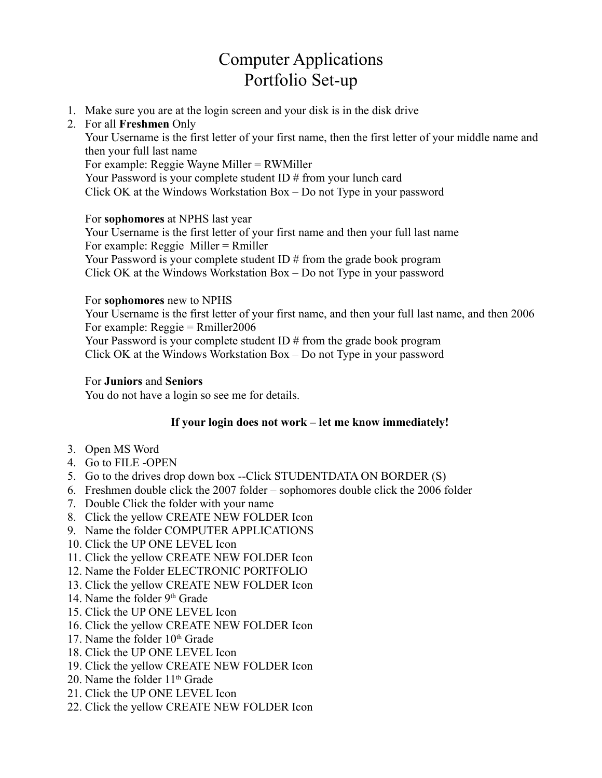# Computer Applications Portfolio Set-up

1. Make sure you are at the login screen and your disk is in the disk drive

## 2. For all **Freshmen** Only

Your Username is the first letter of your first name, then the first letter of your middle name and then your full last name For example: Reggie Wayne Miller = RWMiller

Your Password is your complete student ID # from your lunch card Click OK at the Windows Workstation Box – Do not Type in your password

For **sophomores** at NPHS last year

Your Username is the first letter of your first name and then your full last name For example: Reggie Miller = Rmiller Your Password is your complete student ID # from the grade book program Click OK at the Windows Workstation Box – Do not Type in your password

### For **sophomores** new to NPHS

Your Username is the first letter of your first name, and then your full last name, and then 2006 For example: Reggie = Rmiller2006

Your Password is your complete student ID # from the grade book program Click OK at the Windows Workstation Box – Do not Type in your password

### For **Juniors** and **Seniors**

You do not have a login so see me for details.

### **If your login does not work – let me know immediately!**

- 3. Open MS Word
- 4. Go to FILE -OPEN
- 5. Go to the drives drop down box --Click STUDENTDATA ON BORDER (S)
- 6. Freshmen double click the 2007 folder sophomores double click the 2006 folder
- 7. Double Click the folder with your name
- 8. Click the yellow CREATE NEW FOLDER Icon
- 9. Name the folder COMPUTER APPLICATIONS
- 10. Click the UP ONE LEVEL Icon
- 11. Click the yellow CREATE NEW FOLDER Icon
- 12. Name the Folder ELECTRONIC PORTFOLIO
- 13. Click the yellow CREATE NEW FOLDER Icon
- 14. Name the folder 9th Grade
- 15. Click the UP ONE LEVEL Icon
- 16. Click the yellow CREATE NEW FOLDER Icon
- 17. Name the folder  $10<sup>th</sup>$  Grade
- 18. Click the UP ONE LEVEL Icon
- 19. Click the yellow CREATE NEW FOLDER Icon
- 20. Name the folder  $11<sup>th</sup>$  Grade
- 21. Click the UP ONE LEVEL Icon
- 22. Click the yellow CREATE NEW FOLDER Icon